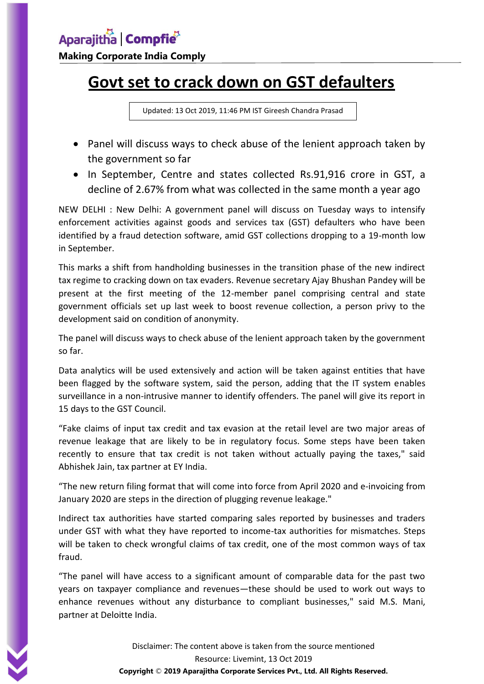## **Govt set to crack down on GST defaulters**

Updated: 13 Oct 2019, 11:46 PM IST Gireesh Chandra Prasad

- Panel will discuss ways to check abuse of the lenient approach taken by the government so far
- In September, Centre and states collected Rs.91,916 crore in GST, a decline of 2.67% from what was collected in the same month a year ago

NEW DELHI : New Delhi: A government panel will discuss on Tuesday ways to intensify enforcement activities against goods and services tax (GST) defaulters who have been identified by a fraud detection software, amid GST collections dropping to a 19-month low in September.

This marks a shift from handholding businesses in the transition phase of the new indirect tax regime to cracking down on tax evaders. Revenue secretary Ajay Bhushan Pandey will be present at the first meeting of the 12-member panel comprising central and state government officials set up last week to boost revenue collection, a person privy to the development said on condition of anonymity.

The panel will discuss ways to check abuse of the lenient approach taken by the government so far.

Data analytics will be used extensively and action will be taken against entities that have been flagged by the software system, said the person, adding that the IT system enables surveillance in a non-intrusive manner to identify offenders. The panel will give its report in 15 days to the GST Council.

"Fake claims of input tax credit and tax evasion at the retail level are two major areas of revenue leakage that are likely to be in regulatory focus. Some steps have been taken recently to ensure that tax credit is not taken without actually paying the taxes," said Abhishek Jain, tax partner at EY India.

"The new return filing format that will come into force from April 2020 and e-invoicing from January 2020 are steps in the direction of plugging revenue leakage."

Indirect tax authorities have started comparing sales reported by businesses and traders under GST with what they have reported to income-tax authorities for mismatches. Steps will be taken to check wrongful claims of tax credit, one of the most common ways of tax fraud.

"The panel will have access to a significant amount of comparable data for the past two years on taxpayer compliance and revenues—these should be used to work out ways to enhance revenues without any disturbance to compliant businesses," said M.S. Mani, partner at Deloitte India.